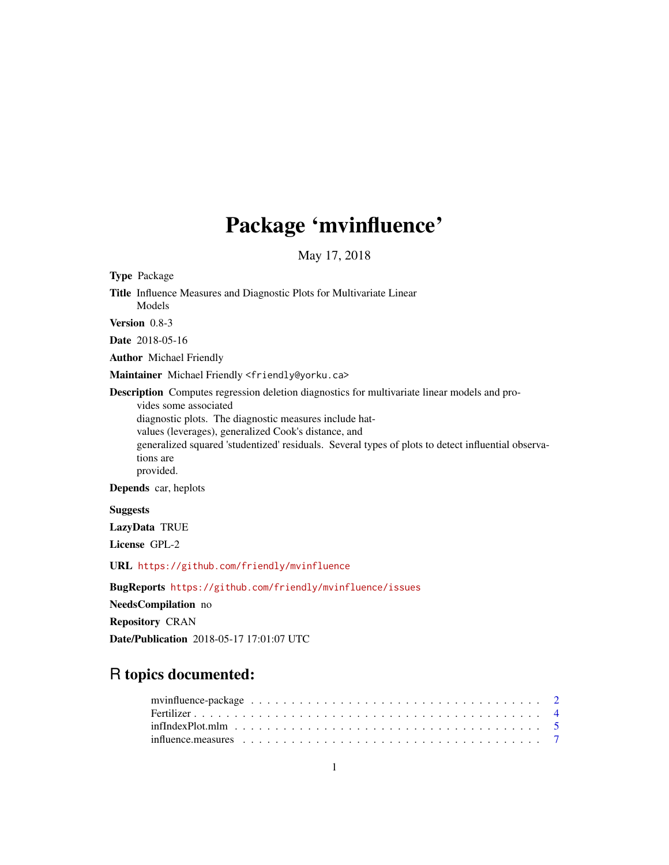## Package 'mvinfluence'

May 17, 2018

<span id="page-0-0"></span>Type Package Title Influence Measures and Diagnostic Plots for Multivariate Linear Models Version 0.8-3 Date 2018-05-16 Author Michael Friendly Maintainer Michael Friendly <friendly@yorku.ca> Description Computes regression deletion diagnostics for multivariate linear models and provides some associated diagnostic plots. The diagnostic measures include hatvalues (leverages), generalized Cook's distance, and generalized squared 'studentized' residuals. Several types of plots to detect influential observations are provided. Depends car, heplots Suggests LazyData TRUE License GPL-2

URL <https://github.com/friendly/mvinfluence>

BugReports <https://github.com/friendly/mvinfluence/issues>

NeedsCompilation no

Repository CRAN

Date/Publication 2018-05-17 17:01:07 UTC

## R topics documented: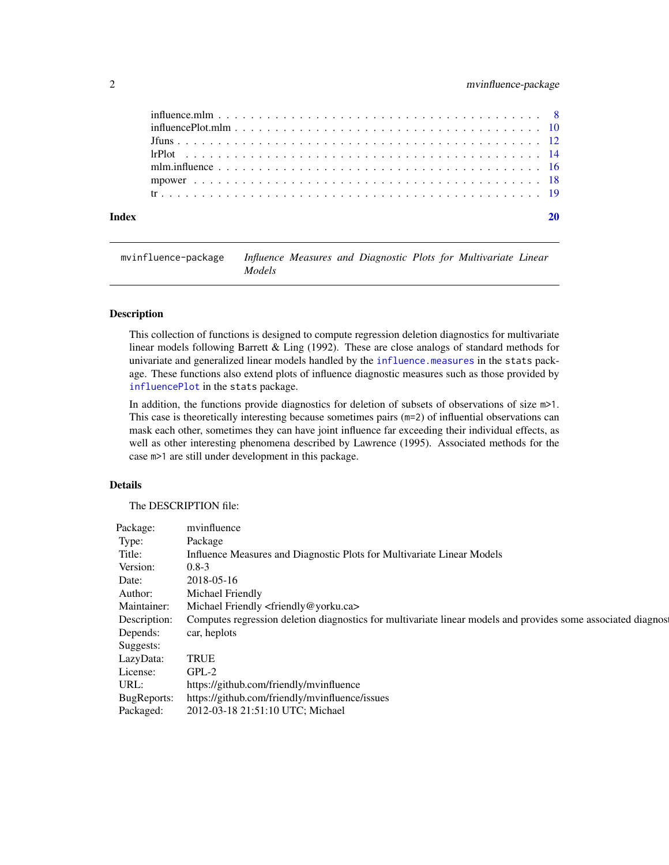## <span id="page-1-0"></span>2 mvinfluence-package

| Index |  |
|-------|--|
|       |  |
|       |  |
|       |  |
|       |  |
|       |  |
|       |  |
|       |  |

mvinfluence-package *Influence Measures and Diagnostic Plots for Multivariate Linear Models*

#### Description

This collection of functions is designed to compute regression deletion diagnostics for multivariate linear models following Barrett & Ling (1992). These are close analogs of standard methods for univariate and generalized linear models handled by the [influence.measures](#page-6-1) in the stats package. These functions also extend plots of influence diagnostic measures such as those provided by [influencePlot](#page-0-0) in the stats package.

In addition, the functions provide diagnostics for deletion of subsets of observations of size m>1. This case is theoretically interesting because sometimes pairs (m=2) of influential observations can mask each other, sometimes they can have joint influence far exceeding their individual effects, as well as other interesting phenomena described by Lawrence (1995). Associated methods for the case m>1 are still under development in this package.

## Details

The DESCRIPTION file:

| Package:     | mvinfluence                                                                                                  |
|--------------|--------------------------------------------------------------------------------------------------------------|
| Type:        | Package                                                                                                      |
| Title:       | Influence Measures and Diagnostic Plots for Multivariate Linear Models                                       |
| Version:     | $0.8 - 3$                                                                                                    |
| Date:        | 2018-05-16                                                                                                   |
| Author:      | Michael Friendly                                                                                             |
| Maintainer:  | Michael Friendly <friendly@yorku.ca></friendly@yorku.ca>                                                     |
| Description: | Computes regression deletion diagnostics for multivariate linear models and provides some associated diagnos |
| Depends:     | car, heplots                                                                                                 |
| Suggests:    |                                                                                                              |
| LazyData:    | <b>TRUE</b>                                                                                                  |
| License:     | GPL-2                                                                                                        |
| URL:         | https://github.com/friendly/mvinfluence                                                                      |
| BugReports:  | https://github.com/friendly/mvinfluence/issues                                                               |
| Packaged:    | 2012-03-18 21:51:10 UTC; Michael                                                                             |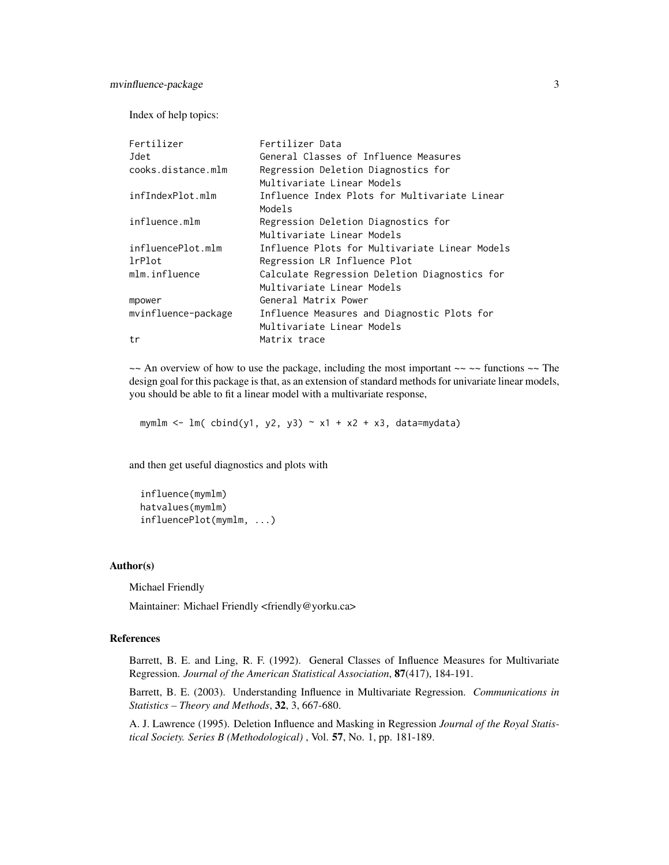## mvinfluence-package 3

Index of help topics:

| Fertilizer          | Fertilizer Data                                |
|---------------------|------------------------------------------------|
| Jdet                | General Classes of Influence Measures          |
| cooks.distance.mlm  | Regression Deletion Diagnostics for            |
|                     | Multivariate Linear Models                     |
| infIndexPlot.mlm    | Influence Index Plots for Multivariate Linear  |
|                     | Models                                         |
| influence.mlm       | Regression Deletion Diagnostics for            |
|                     | Multivariate Linear Models                     |
| influencePlot.mlm   | Influence Plots for Multivariate Linear Models |
| lrPlot              | Regression LR Influence Plot                   |
| mlm.influence       | Calculate Regression Deletion Diagnostics for  |
|                     | Multivariate Linear Models                     |
| mpower              | General Matrix Power                           |
| mvinfluence-package | Influence Measures and Diagnostic Plots for    |
|                     | Multivariate Linear Models                     |
| tr                  | Matrix trace                                   |

 $\sim$  An overview of how to use the package, including the most important  $\sim$   $\sim$  functions  $\sim$  The design goal for this package is that, as an extension of standard methods for univariate linear models, you should be able to fit a linear model with a multivariate response,

mymlm  $\le$  lm( cbind(y1, y2, y3)  $\sim$  x1 + x2 + x3, data=mydata)

and then get useful diagnostics and plots with

influence(mymlm) hatvalues(mymlm) influencePlot(mymlm, ...)

## Author(s)

Michael Friendly

Maintainer: Michael Friendly <friendly@yorku.ca>

## References

Barrett, B. E. and Ling, R. F. (1992). General Classes of Influence Measures for Multivariate Regression. *Journal of the American Statistical Association*, 87(417), 184-191.

Barrett, B. E. (2003). Understanding Influence in Multivariate Regression. *Communications in Statistics – Theory and Methods*, 32, 3, 667-680.

A. J. Lawrence (1995). Deletion Influence and Masking in Regression *Journal of the Royal Statistical Society. Series B (Methodological)* , Vol. 57, No. 1, pp. 181-189.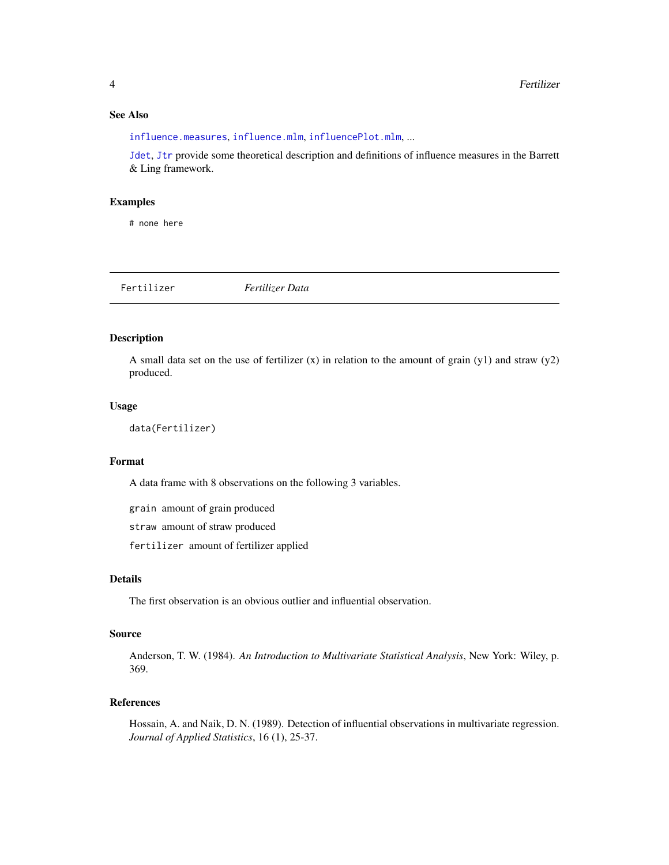## <span id="page-3-0"></span>See Also

[influence.measures](#page-6-1), [influence.mlm](#page-7-1), [influencePlot.mlm](#page-9-1), ...

[Jdet](#page-11-1), [Jtr](#page-11-1) provide some theoretical description and definitions of influence measures in the Barrett & Ling framework.

#### Examples

# none here

|  | Fertilizer Data<br>Fertilizer |
|--|-------------------------------|
|--|-------------------------------|

## Description

A small data set on the use of fertilizer (x) in relation to the amount of grain (y1) and straw (y2) produced.

#### Usage

```
data(Fertilizer)
```
#### Format

A data frame with 8 observations on the following 3 variables.

grain amount of grain produced

straw amount of straw produced

fertilizer amount of fertilizer applied

#### Details

The first observation is an obvious outlier and influential observation.

#### Source

Anderson, T. W. (1984). *An Introduction to Multivariate Statistical Analysis*, New York: Wiley, p. 369.

## References

Hossain, A. and Naik, D. N. (1989). Detection of influential observations in multivariate regression. *Journal of Applied Statistics*, 16 (1), 25-37.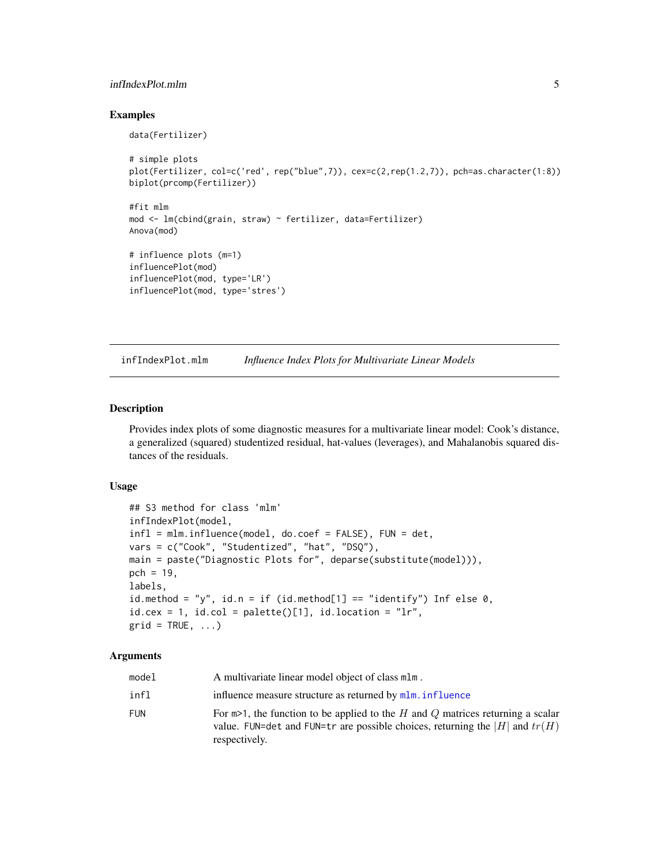## <span id="page-4-0"></span>infIndexPlot.mlm 5

#### Examples

```
data(Fertilizer)
# simple plots
plot(Fertilizer, col=c('red', rep("blue",7)), cex=c(2,rep(1.2,7)), pch=as.character(1:8))
biplot(prcomp(Fertilizer))
#fit mlm
mod <- lm(cbind(grain, straw) ~ fertilizer, data=Fertilizer)
Anova(mod)
# influence plots (m=1)
influencePlot(mod)
influencePlot(mod, type='LR')
influencePlot(mod, type='stres')
```
infIndexPlot.mlm *Influence Index Plots for Multivariate Linear Models*

## Description

Provides index plots of some diagnostic measures for a multivariate linear model: Cook's distance, a generalized (squared) studentized residual, hat-values (leverages), and Mahalanobis squared distances of the residuals.

#### Usage

```
## S3 method for class 'mlm'
infIndexPlot(model,
infl = mlm.influence(model, do.coef = FALSE), FUN = det,
vars = c("Cook", "Studentized", "hat", "DSQ"),
main = paste("Diagnostic Plots for", deparse(substitute(model))),
pch = 19,
labels,
id.method = "y", id.n = if (id.method[1] == "identify") Inf else \emptyset,
id.cex = 1, id.col = palette() [1], id.location = "lr",grid = TRUE, ...)
```
#### Arguments

| model | A multivariate linear model object of class mlm.                                                                                                                                    |
|-------|-------------------------------------------------------------------------------------------------------------------------------------------------------------------------------------|
| infl  | influence measure structure as returned by mlm. influence                                                                                                                           |
| FUN   | For $m>1$ , the function to be applied to the H and Q matrices returning a scalar<br>value. FUN=det and FUN=tr are possible choices, returning the  H  and $tr(H)$<br>respectively. |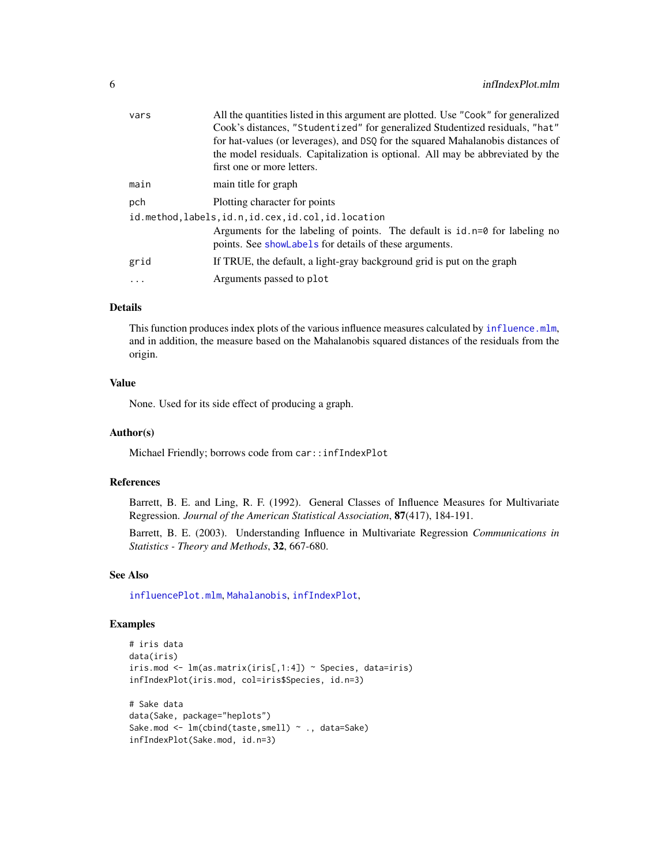<span id="page-5-0"></span>

| vars     | All the quantities listed in this argument are plotted. Use "Cook" for generalized                                                      |
|----------|-----------------------------------------------------------------------------------------------------------------------------------------|
|          | Cook's distances, "Studentized" for generalized Studentized residuals, "hat"                                                            |
|          | for hat-values (or leverages), and DSQ for the squared Mahalanobis distances of                                                         |
|          | the model residuals. Capitalization is optional. All may be abbreviated by the                                                          |
|          | first one or more letters.                                                                                                              |
| main     | main title for graph                                                                                                                    |
| pch      | Plotting character for points                                                                                                           |
|          | id.method.labels.id.n.id.cex.id.col.id.location                                                                                         |
|          | Arguments for the labeling of points. The default is $id.n=0$ for labeling no<br>points. See showLabels for details of these arguments. |
| grid     | If TRUE, the default, a light-gray background grid is put on the graph                                                                  |
| $\ddots$ | Arguments passed to plot                                                                                                                |
|          |                                                                                                                                         |

## Details

This function produces index plots of the various influence measures calculated by [influence.mlm](#page-7-1), and in addition, the measure based on the Mahalanobis squared distances of the residuals from the origin.

#### Value

None. Used for its side effect of producing a graph.

## Author(s)

Michael Friendly; borrows code from car::infIndexPlot

## References

Barrett, B. E. and Ling, R. F. (1992). General Classes of Influence Measures for Multivariate Regression. *Journal of the American Statistical Association*, 87(417), 184-191.

Barrett, B. E. (2003). Understanding Influence in Multivariate Regression *Communications in Statistics - Theory and Methods*, 32, 667-680.

## See Also

[influencePlot.mlm](#page-9-1), [Mahalanobis](#page-0-0), [infIndexPlot](#page-0-0),

infIndexPlot(Sake.mod, id.n=3)

#### Examples

```
# iris data
data(iris)
iris.mod <- lm(as.matrix(iris[,1:4]) ~ Species, data=iris)
infIndexPlot(iris.mod, col=iris$Species, id.n=3)
# Sake data
data(Sake, package="heplots")
Sake.mod <- lm(cbind(taste,smell) ~ ., data=Sake)
```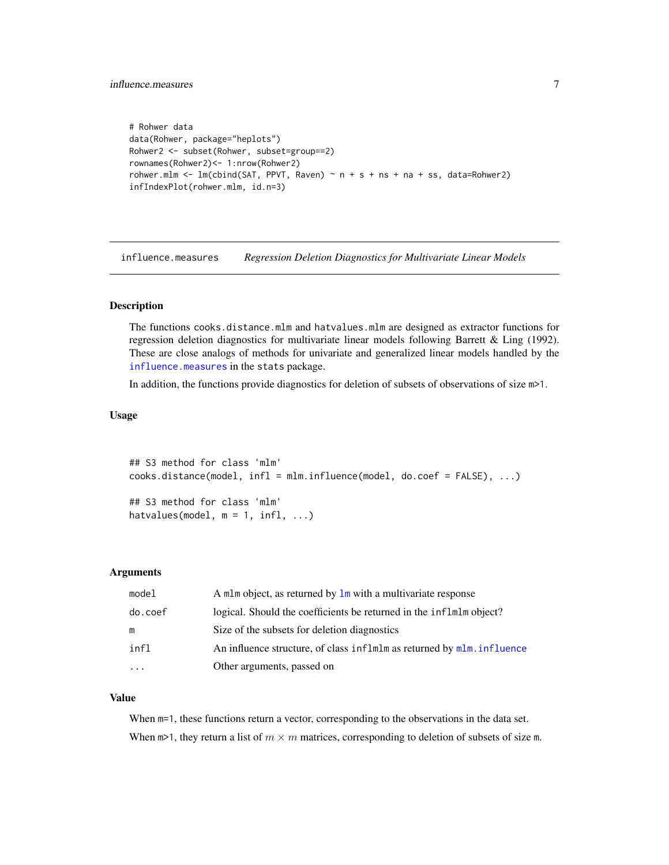```
# Rohwer data
data(Rohwer, package="heplots")
Rohwer2 <- subset(Rohwer, subset=group==2)
rownames(Rohwer2)<- 1:nrow(Rohwer2)
rohwer.mlm <- lm(cbind(SAT, PPVT, Raven) ~ n + s + ns + na + ss, data=Rohwer2)infIndexPlot(rohwer.mlm, id.n=3)
```
<span id="page-6-1"></span>influence.measures *Regression Deletion Diagnostics for Multivariate Linear Models*

## Description

The functions cooks.distance.mlm and hatvalues.mlm are designed as extractor functions for regression deletion diagnostics for multivariate linear models following Barrett & Ling (1992). These are close analogs of methods for univariate and generalized linear models handled by the [influence.measures](#page-6-1) in the stats package.

In addition, the functions provide diagnostics for deletion of subsets of observations of size m>1.

#### Usage

```
## S3 method for class 'mlm'
cooks.distance(model, infl = mlm.influence(model, do.coef = FALSE), ...)
## S3 method for class 'mlm'
hatvalues(model, m = 1, infl, ...)
```
#### Arguments

| model    | A mlm object, as returned by $\ln x$ with a multivariate response      |
|----------|------------------------------------------------------------------------|
| do.coef  | logical. Should the coefficients be returned in the inflmlm object?    |
| m        | Size of the subsets for deletion diagnostics                           |
| infl     | An influence structure, of class inflmlm as returned by mlm. influence |
| $\cdots$ | Other arguments, passed on                                             |

#### Value

When  $m=1$ , these functions return a vector, corresponding to the observations in the data set. When  $m>1$ , they return a list of  $m \times m$  matrices, corresponding to deletion of subsets of size m.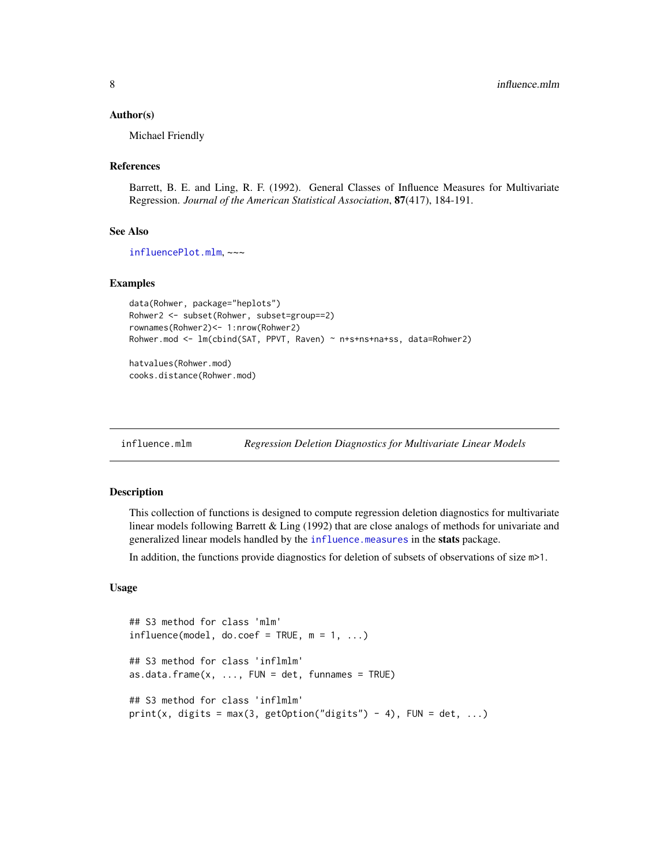#### <span id="page-7-0"></span>Author(s)

Michael Friendly

#### References

Barrett, B. E. and Ling, R. F. (1992). General Classes of Influence Measures for Multivariate Regression. *Journal of the American Statistical Association*, 87(417), 184-191.

#### See Also

[influencePlot.mlm](#page-9-1), ~~~

## Examples

```
data(Rohwer, package="heplots")
Rohwer2 <- subset(Rohwer, subset=group==2)
rownames(Rohwer2)<- 1:nrow(Rohwer2)
Rohwer.mod <- lm(cbind(SAT, PPVT, Raven) ~ n+s+ns+na+ss, data=Rohwer2)
```
hatvalues(Rohwer.mod) cooks.distance(Rohwer.mod)

<span id="page-7-1"></span>influence.mlm *Regression Deletion Diagnostics for Multivariate Linear Models*

### Description

This collection of functions is designed to compute regression deletion diagnostics for multivariate linear models following Barrett & Ling (1992) that are close analogs of methods for univariate and generalized linear models handled by the [influence.measures](#page-6-1) in the stats package.

In addition, the functions provide diagnostics for deletion of subsets of observations of size m>1.

#### Usage

```
## S3 method for class 'mlm'
influence(model, do.coef = TRUE, m = 1, ...)## S3 method for class 'inflmlm'
as.data. frame(x, ..., FUN = det, funnames = TRUE)## S3 method for class 'inflmlm'
print(x, digits = max(3, getOption("digits") - 4), FUN = det, ...)
```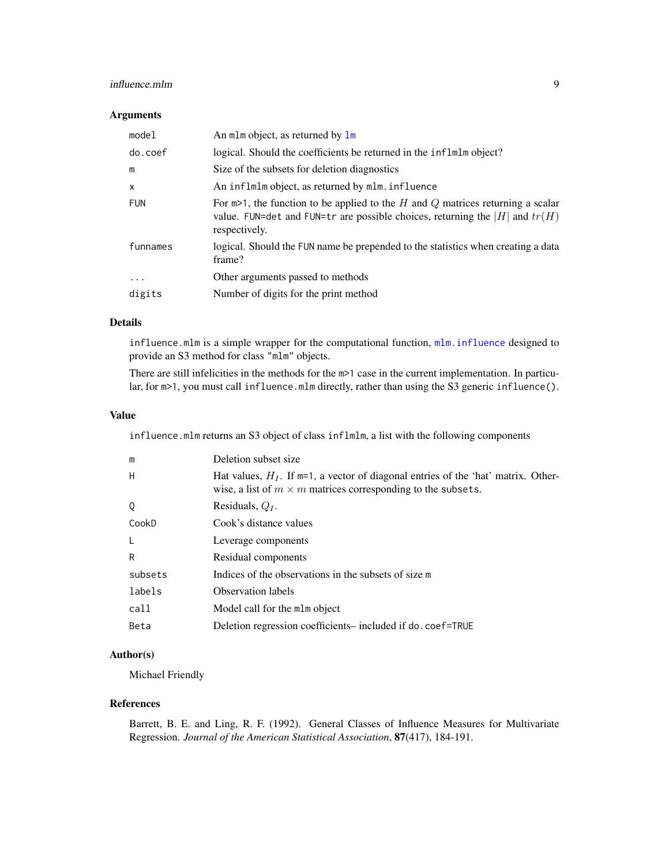## <span id="page-8-0"></span>influence.mlm 9

## Arguments

| model        | An mlm object, as returned by lm                                                                                                                                                    |
|--------------|-------------------------------------------------------------------------------------------------------------------------------------------------------------------------------------|
| do.coef      | logical. Should the coefficients be returned in the inflmlm object?                                                                                                                 |
| m            | Size of the subsets for deletion diagnostics                                                                                                                                        |
| $\mathsf{x}$ | An inflmlm object, as returned by mlm. influence                                                                                                                                    |
| <b>FUN</b>   | For $m>1$ , the function to be applied to the H and Q matrices returning a scalar<br>value. FUN=det and FUN=tr are possible choices, returning the  H  and $tr(H)$<br>respectively. |
| funnames     | logical. Should the FUN name be prepended to the statistics when creating a data<br>frame?                                                                                          |
| .            | Other arguments passed to methods                                                                                                                                                   |
| digits       | Number of digits for the print method                                                                                                                                               |

#### Details

influence.mlm is a simple wrapper for the computational function,  $mlm$ . influence designed to provide an S3 method for class "mlm" objects.

There are still infelicities in the methods for the m>1 case in the current implementation. In particular, for  $m>1$ , you must call influence.mlm directly, rather than using the S3 generic influence().

#### Value

influence.mlm returns an S3 object of class inflmlm, a list with the following components

| m       | Deletion subset size                                                                                                                                           |
|---------|----------------------------------------------------------------------------------------------------------------------------------------------------------------|
| H       | Hat values, $H_I$ . If $m=1$ , a vector of diagonal entries of the 'hat' matrix. Other-<br>wise, a list of $m \times m$ matrices corresponding to the subsets. |
| Q       | Residuals, $Q_I$ .                                                                                                                                             |
| CookD   | Cook's distance values                                                                                                                                         |
|         | Leverage components                                                                                                                                            |
| R       | Residual components                                                                                                                                            |
| subsets | Indices of the observations in the subsets of size m                                                                                                           |
| labels  | <b>Observation labels</b>                                                                                                                                      |
| call    | Model call for the mlm object                                                                                                                                  |
| Beta    | Deletion regression coefficients— included if do. coef=TRUE                                                                                                    |

## Author(s)

Michael Friendly

## References

Barrett, B. E. and Ling, R. F. (1992). General Classes of Influence Measures for Multivariate Regression. *Journal of the American Statistical Association*, 87(417), 184-191.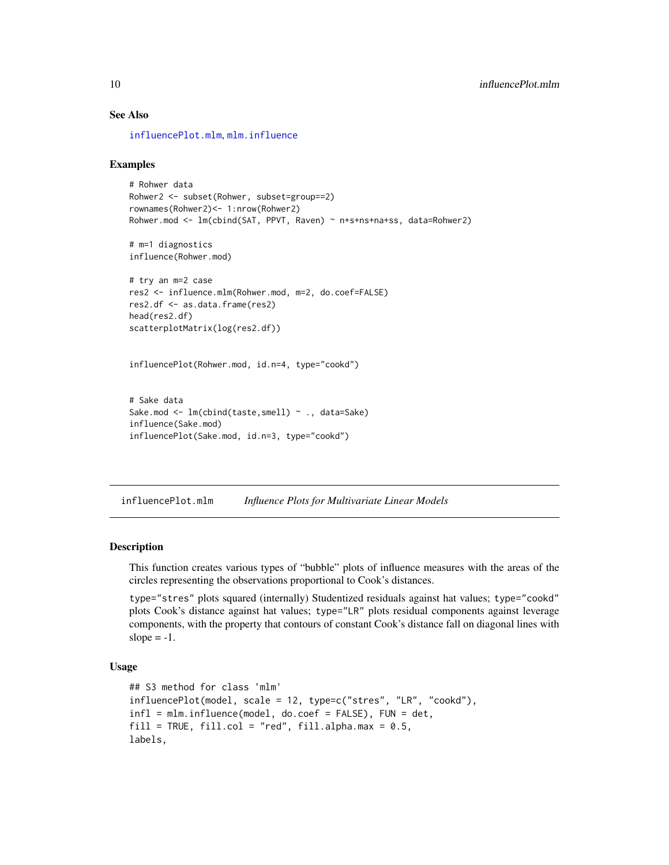#### See Also

[influencePlot.mlm](#page-9-1), [mlm.influence](#page-15-1)

#### Examples

```
# Rohwer data
Rohwer2 <- subset(Rohwer, subset=group==2)
rownames(Rohwer2)<- 1:nrow(Rohwer2)
Rohwer.mod <- lm(cbind(SAT, PPVT, Raven) ~ n+s+ns+na+ss, data=Rohwer2)
# m=1 diagnostics
influence(Rohwer.mod)
# try an m=2 case
res2 <- influence.mlm(Rohwer.mod, m=2, do.coef=FALSE)
res2.df <- as.data.frame(res2)
head(res2.df)
scatterplotMatrix(log(res2.df))
influencePlot(Rohwer.mod, id.n=4, type="cookd")
# Sake data
Sake.mod <- lm(cbind(taste,smell) ~ ., data=Sake)
influence(Sake.mod)
influencePlot(Sake.mod, id.n=3, type="cookd")
```
<span id="page-9-1"></span>influencePlot.mlm *Influence Plots for Multivariate Linear Models*

## Description

This function creates various types of "bubble" plots of influence measures with the areas of the circles representing the observations proportional to Cook's distances.

type="stres" plots squared (internally) Studentized residuals against hat values; type="cookd" plots Cook's distance against hat values; type="LR" plots residual components against leverage components, with the property that contours of constant Cook's distance fall on diagonal lines with slope  $= -1$ .

#### Usage

```
## S3 method for class 'mlm'
influencePlot(model, scale = 12, type=c("stres", "LR", "cookd"),
infl = mlm.influence(model, do.coef = FALSE), FUN = det,
fill = TRUE, fill.col = "red", fill.alpha.max = 0.5,labels,
```
<span id="page-9-0"></span>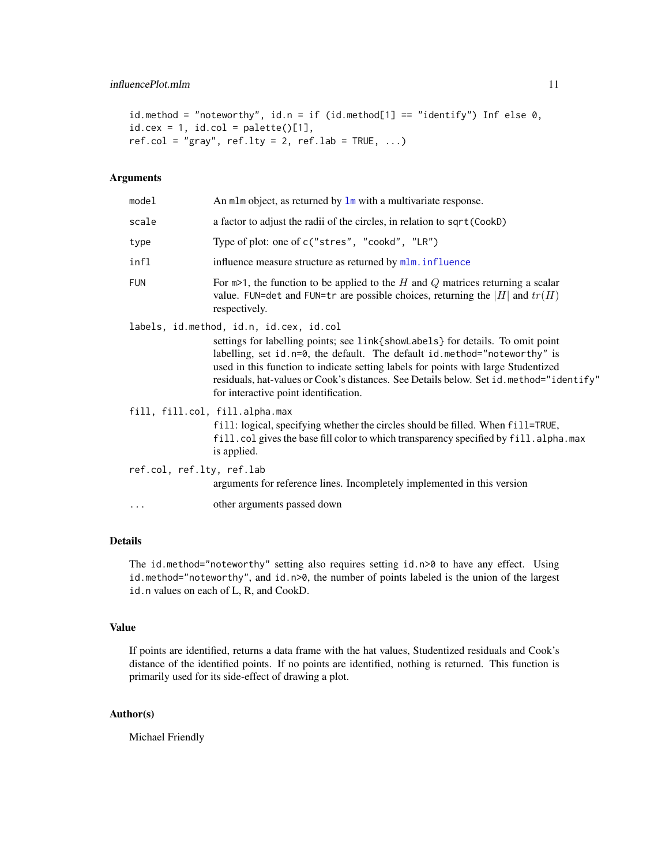```
id. method = "noteworthy", id.n = if (id. method[1] == "identify") Inf else 0,id. cex = 1, id. col = palette() [1],ref.col = "gray", ref.lty = 2, ref.lab = TRUE, \ldots)
```
## Arguments

| model                          | An mlm object, as returned by lm with a multivariate response.                                                                                                                                                                                                                                                                                                                                                                     |
|--------------------------------|------------------------------------------------------------------------------------------------------------------------------------------------------------------------------------------------------------------------------------------------------------------------------------------------------------------------------------------------------------------------------------------------------------------------------------|
| scale                          | a factor to adjust the radii of the circles, in relation to sqrt (CookD)                                                                                                                                                                                                                                                                                                                                                           |
| type                           | Type of plot: one of c("stres", "cookd", "LR")                                                                                                                                                                                                                                                                                                                                                                                     |
| infl                           | influence measure structure as returned by mlm. influence                                                                                                                                                                                                                                                                                                                                                                          |
| <b>FUN</b>                     | For $m>1$ , the function to be applied to the H and Q matrices returning a scalar<br>value. FUN=det and FUN=tr are possible choices, returning the  H  and $tr(H)$<br>respectively.                                                                                                                                                                                                                                                |
|                                | labels, id.method, id.n, id.cex, id.col<br>settings for labelling points; see link{showLabels} for details. To omit point<br>labelling, set id. n=0, the default. The default id. method="noteworthy" is<br>used in this function to indicate setting labels for points with large Studentized<br>residuals, hat-values or Cook's distances. See Details below. Set id. method="identify"<br>for interactive point identification. |
| fill, fill.col, fill.alpha.max | fill: logical, specifying whether the circles should be filled. When fill=TRUE,<br>fill. col gives the base fill color to which transparency specified by fill. alpha. max<br>is applied.                                                                                                                                                                                                                                          |
| ref.col, ref.lty, ref.lab      | arguments for reference lines. Incompletely implemented in this version                                                                                                                                                                                                                                                                                                                                                            |
| .                              | other arguments passed down                                                                                                                                                                                                                                                                                                                                                                                                        |

## Details

The id.method="noteworthy" setting also requires setting id.n>0 to have any effect. Using id.method="noteworthy", and id.n>0, the number of points labeled is the union of the largest id.n values on each of L, R, and CookD.

## Value

If points are identified, returns a data frame with the hat values, Studentized residuals and Cook's distance of the identified points. If no points are identified, nothing is returned. This function is primarily used for its side-effect of drawing a plot.

## Author(s)

Michael Friendly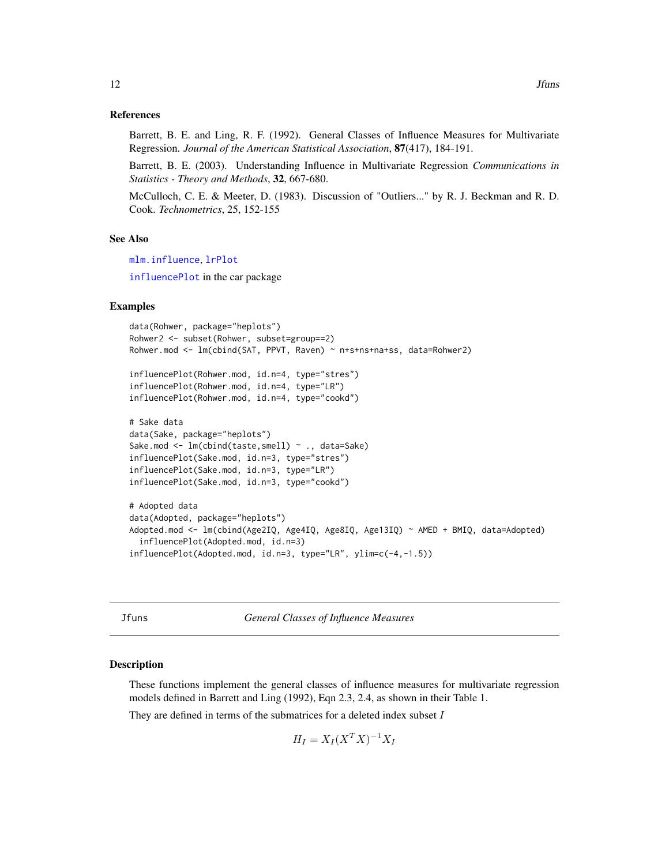#### <span id="page-11-0"></span>References

Barrett, B. E. and Ling, R. F. (1992). General Classes of Influence Measures for Multivariate Regression. *Journal of the American Statistical Association*, 87(417), 184-191.

Barrett, B. E. (2003). Understanding Influence in Multivariate Regression *Communications in Statistics - Theory and Methods*, 32, 667-680.

McCulloch, C. E. & Meeter, D. (1983). Discussion of "Outliers..." by R. J. Beckman and R. D. Cook. *Technometrics*, 25, 152-155

#### See Also

[mlm.influence](#page-15-1), [lrPlot](#page-13-1)

[influencePlot](#page-0-0) in the car package

#### Examples

```
data(Rohwer, package="heplots")
Rohwer2 <- subset(Rohwer, subset=group==2)
Rohwer.mod <- lm(cbind(SAT, PPVT, Raven) ~ n+s+ns+na+ss, data=Rohwer2)
influencePlot(Rohwer.mod, id.n=4, type="stres")
influencePlot(Rohwer.mod, id.n=4, type="LR")
influencePlot(Rohwer.mod, id.n=4, type="cookd")
# Sake data
data(Sake, package="heplots")
Sake.mod <- lm(cbind(taste,smell) ~ ., data=Sake)
influencePlot(Sake.mod, id.n=3, type="stres")
influencePlot(Sake.mod, id.n=3, type="LR")
influencePlot(Sake.mod, id.n=3, type="cookd")
# Adopted data
data(Adopted, package="heplots")
Adopted.mod <- lm(cbind(Age2IQ, Age4IQ, Age8IQ, Age13IQ) ~ AMED + BMIQ, data=Adopted)
  influencePlot(Adopted.mod, id.n=3)
influencePlot(Adopted.mod, id.n=3, type="LR", ylim=c(-4,-1.5))
```
Jfuns *General Classes of Influence Measures*

#### <span id="page-11-1"></span>Description

These functions implement the general classes of influence measures for multivariate regression models defined in Barrett and Ling (1992), Eqn 2.3, 2.4, as shown in their Table 1.

They are defined in terms of the submatrices for a deleted index subset  $I$ 

$$
H_I = X_I (X^T X)^{-1} X_I
$$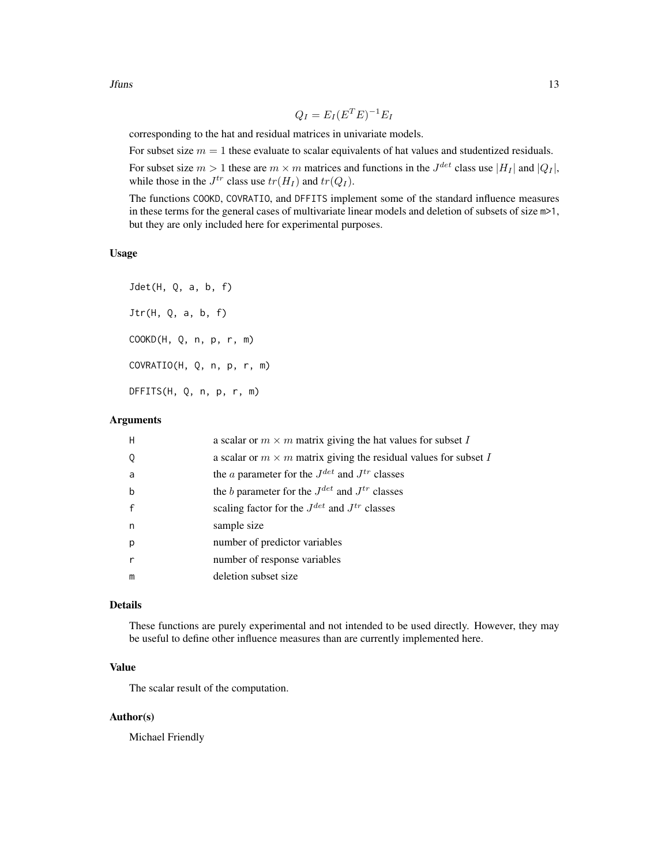$Jfuns$  13

$$
Q_I = E_I (E^T E)^{-1} E_I
$$

corresponding to the hat and residual matrices in univariate models.

For subset size  $m = 1$  these evaluate to scalar equivalents of hat values and studentized residuals.

For subset size  $m > 1$  these are  $m \times m$  matrices and functions in the  $J^{det}$  class use  $|H_I|$  and  $|Q_I|$ , while those in the  $J^{tr}$  class use  $tr(H_I)$  and  $tr(Q_I)$ .

The functions COOKD, COVRATIO, and DFFITS implement some of the standard influence measures in these terms for the general cases of multivariate linear models and deletion of subsets of size m>1, but they are only included here for experimental purposes.

### Usage

Jdet(H, Q, a, b, f) Jtr(H, Q, a, b, f) COOKD(H, Q, n, p, r, m) COVRATIO(H, Q, n, p, r, m) DFFITS(H, Q, n, p, r, m)

#### Arguments

| H            | a scalar or $m \times m$ matrix giving the hat values for subset I      |
|--------------|-------------------------------------------------------------------------|
| Q            | a scalar or $m \times m$ matrix giving the residual values for subset I |
| a            | the <i>a</i> parameter for the $J^{det}$ and $J^{tr}$ classes           |
| $\mathbf b$  | the <i>b</i> parameter for the $J^{det}$ and $J^{tr}$ classes           |
| $\mathsf{f}$ | scaling factor for the $J^{det}$ and $J^{tr}$ classes                   |
| n            | sample size                                                             |
| p            | number of predictor variables                                           |
| $\mathsf{r}$ | number of response variables                                            |
| m            | deletion subset size                                                    |

#### Details

These functions are purely experimental and not intended to be used directly. However, they may be useful to define other influence measures than are currently implemented here.

## Value

The scalar result of the computation.

#### Author(s)

Michael Friendly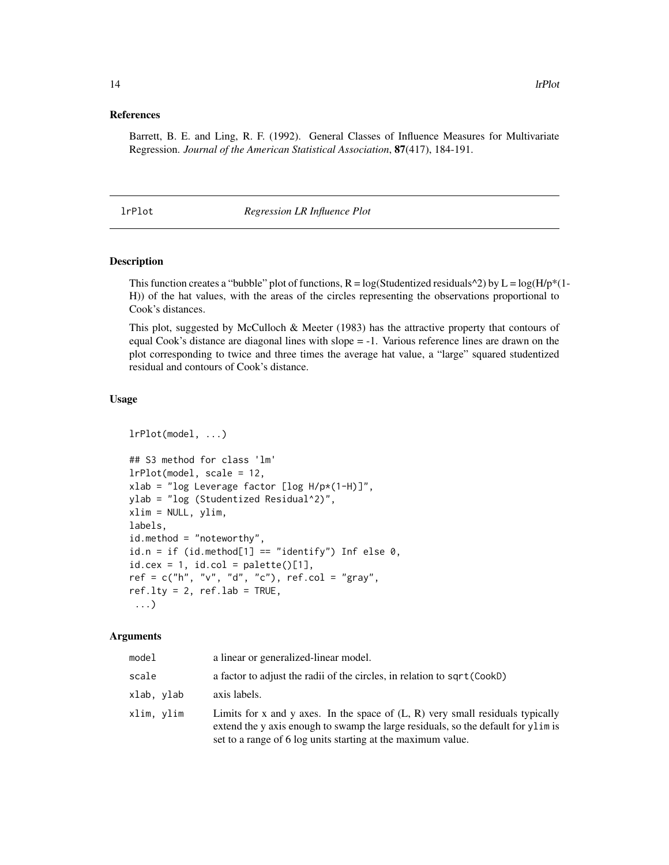#### <span id="page-13-0"></span>References

Barrett, B. E. and Ling, R. F. (1992). General Classes of Influence Measures for Multivariate Regression. *Journal of the American Statistical Association*, 87(417), 184-191.

#### <span id="page-13-1"></span>lrPlot *Regression LR Influence Plot*

#### Description

This function creates a "bubble" plot of functions,  $R = \log(\text{Studentized residuals}^2)$  by  $L = \log(H/p^*(1-p^*))$ H)) of the hat values, with the areas of the circles representing the observations proportional to Cook's distances.

This plot, suggested by McCulloch & Meeter (1983) has the attractive property that contours of equal Cook's distance are diagonal lines with slope = -1. Various reference lines are drawn on the plot corresponding to twice and three times the average hat value, a "large" squared studentized residual and contours of Cook's distance.

#### Usage

```
lrPlot(model, ...)
## S3 method for class 'lm'
lrPlot(model, scale = 12,
xlab = "log Leverage factor [log H/p*(1-H)]",
ylab = "log (Studentized Residual^2)",
xlim = NULL, ylim,
labels,
id.method = "noteworthy",
id.n = if (id.method[1] == "identify") Inf else 0,
id.cex = 1, id.col = palette()[1],
ref = c("h", "v", "d", "c"), ref,col = "gray",ref.lty = 2, ref.lab = TRUE,
 ...)
```
#### Arguments

| model      | a linear or generalized-linear model.                                                                                                                                                                                                 |
|------------|---------------------------------------------------------------------------------------------------------------------------------------------------------------------------------------------------------------------------------------|
| scale      | a factor to adjust the radii of the circles, in relation to sqrt (CookD)                                                                                                                                                              |
| xlab, ylab | axis labels.                                                                                                                                                                                                                          |
| xlim, ylim | Limits for x and y axes. In the space of $(L, R)$ very small residuals typically<br>extend the y axis enough to swamp the large residuals, so the default for ylim is<br>set to a range of 6 log units starting at the maximum value. |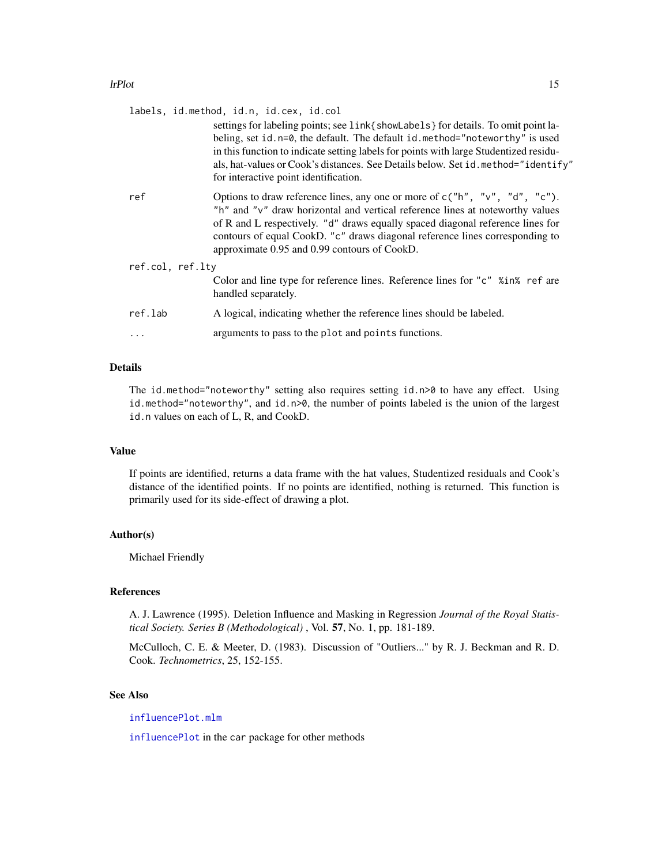<span id="page-14-0"></span>

|                  |         | labels, id.method, id.n, id.cex, id.col<br>settings for labeling points; see link{showLabels} for details. To omit point la-<br>beling, set id. n=0, the default. The default id. method="noteworthy" is used<br>in this function to indicate setting labels for points with large Studentized residu-<br>als, hat-values or Cook's distances. See Details below. Set id. method="identify"<br>for interactive point identification. |  |  |  |
|------------------|---------|--------------------------------------------------------------------------------------------------------------------------------------------------------------------------------------------------------------------------------------------------------------------------------------------------------------------------------------------------------------------------------------------------------------------------------------|--|--|--|
|                  | ref     | Options to draw reference lines, any one or more of $c("h", "v", "d", "c").$<br>"h" and "v" draw horizontal and vertical reference lines at noteworthy values<br>of R and L respectively. "d" draws equally spaced diagonal reference lines for<br>contours of equal CookD. "c" draws diagonal reference lines corresponding to<br>approximate 0.95 and 0.99 contours of CookD.                                                      |  |  |  |
| ref.col, ref.lty |         |                                                                                                                                                                                                                                                                                                                                                                                                                                      |  |  |  |
|                  |         | Color and line type for reference lines. Reference lines for "c" %in% ref are<br>handled separately.                                                                                                                                                                                                                                                                                                                                 |  |  |  |
|                  | ref.lab | A logical, indicating whether the reference lines should be labeled.                                                                                                                                                                                                                                                                                                                                                                 |  |  |  |
|                  | .       | arguments to pass to the plot and points functions.                                                                                                                                                                                                                                                                                                                                                                                  |  |  |  |

## Details

The id.method="noteworthy" setting also requires setting id.n>0 to have any effect. Using id.method="noteworthy", and id.n>0, the number of points labeled is the union of the largest id.n values on each of L, R, and CookD.

#### Value

If points are identified, returns a data frame with the hat values, Studentized residuals and Cook's distance of the identified points. If no points are identified, nothing is returned. This function is primarily used for its side-effect of drawing a plot.

## Author(s)

Michael Friendly

## References

A. J. Lawrence (1995). Deletion Influence and Masking in Regression *Journal of the Royal Statistical Society. Series B (Methodological)* , Vol. 57, No. 1, pp. 181-189.

McCulloch, C. E. & Meeter, D. (1983). Discussion of "Outliers..." by R. J. Beckman and R. D. Cook. *Technometrics*, 25, 152-155.

#### See Also

[influencePlot.mlm](#page-9-1)

[influencePlot](#page-0-0) in the car package for other methods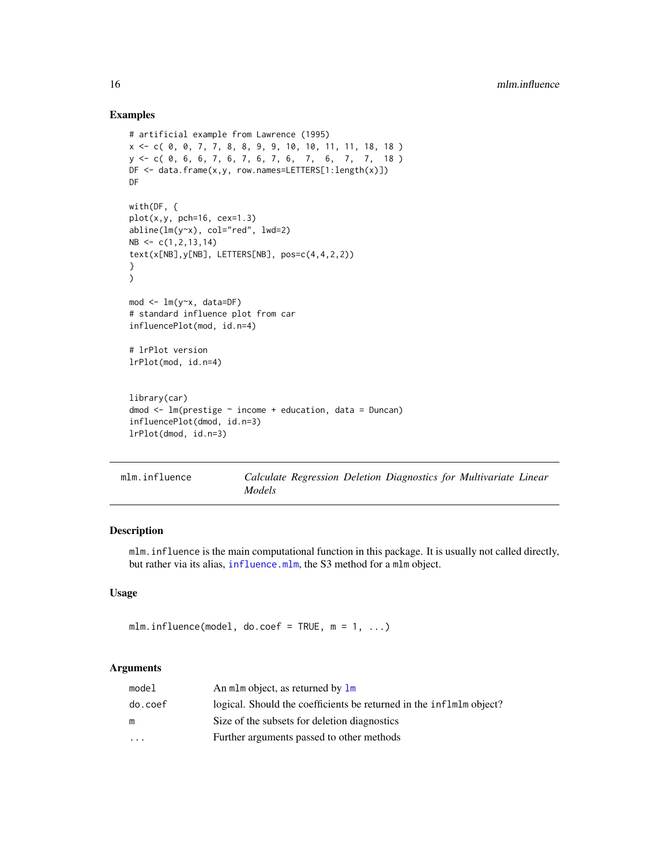## Examples

```
# artificial example from Lawrence (1995)
x <- c( 0, 0, 7, 7, 8, 8, 9, 9, 10, 10, 11, 11, 18, 18 )
y <- c( 0, 6, 6, 7, 6, 7, 6, 7, 6, 7, 6, 7, 7, 18 )
DF <- data.frame(x,y, row.names=LETTERS[1:length(x)])
DF
with(DF, {
plot(x, y, pch=16, cex=1.3)abline(lm(y~x), col="red", lwd=2)
NB \leftarrow c(1, 2, 13, 14)text(x[NB],y[NB], LETTERS[NB], pos=c(4,4,2,2))
}
\lambdamod <- lm(y~x, data=DF)
# standard influence plot from car
influencePlot(mod, id.n=4)
# lrPlot version
lrPlot(mod, id.n=4)
library(car)
dmod \leq lm(prestige \sim income + education, data = Duncan)
influencePlot(dmod, id.n=3)
lrPlot(dmod, id.n=3)
```
<span id="page-15-1"></span>

| mlm.influence |        |  |  | Calculate Regression Deletion Diagnostics for Multivariate Linear |  |
|---------------|--------|--|--|-------------------------------------------------------------------|--|
|               | Models |  |  |                                                                   |  |

## Description

mlm.influence is the main computational function in this package. It is usually not called directly, but rather via its alias, [influence.mlm](#page-7-1), the S3 method for a mlm object.

#### Usage

```
mlm.influence(model, do.coef = TRUE, m = 1, ...)
```
#### Arguments

| model   | An mlm object, as returned by lm                                    |
|---------|---------------------------------------------------------------------|
| do.coef | logical. Should the coefficients be returned in the inflmlm object? |
| m       | Size of the subsets for deletion diagnostics                        |
| $\cdot$ | Further arguments passed to other methods                           |
|         |                                                                     |

<span id="page-15-0"></span>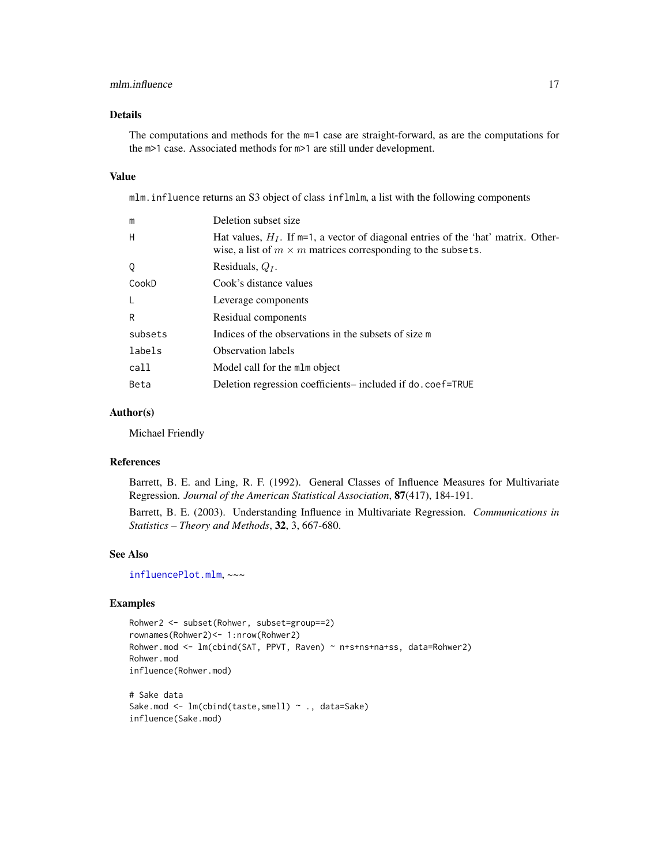### <span id="page-16-0"></span>mlm.influence 17

## Details

The computations and methods for the m=1 case are straight-forward, as are the computations for the m>1 case. Associated methods for m>1 are still under development.

## Value

mlm.influence returns an S3 object of class inflmlm, a list with the following components

| m       | Deletion subset size                                                                                                                                           |
|---------|----------------------------------------------------------------------------------------------------------------------------------------------------------------|
| H       | Hat values, $H_I$ . If $m=1$ , a vector of diagonal entries of the 'hat' matrix. Other-<br>wise, a list of $m \times m$ matrices corresponding to the subsets. |
| Q       | Residuals, $Q_I$ .                                                                                                                                             |
| CookD   | Cook's distance values                                                                                                                                         |
|         | Leverage components                                                                                                                                            |
| R       | Residual components                                                                                                                                            |
| subsets | Indices of the observations in the subsets of size m                                                                                                           |
| labels  | <b>Observation labels</b>                                                                                                                                      |
| call    | Model call for the mlm object                                                                                                                                  |
| Beta    | Deletion regression coefficients-included if do. coef=TRUE                                                                                                     |
|         |                                                                                                                                                                |

#### Author(s)

Michael Friendly

#### References

Barrett, B. E. and Ling, R. F. (1992). General Classes of Influence Measures for Multivariate Regression. *Journal of the American Statistical Association*, 87(417), 184-191.

Barrett, B. E. (2003). Understanding Influence in Multivariate Regression. *Communications in Statistics – Theory and Methods*, 32, 3, 667-680.

## See Also

[influencePlot.mlm](#page-9-1), ~~~

#### Examples

```
Rohwer2 <- subset(Rohwer, subset=group==2)
rownames(Rohwer2)<- 1:nrow(Rohwer2)
Rohwer.mod <- lm(cbind(SAT, PPVT, Raven) ~ n+s+ns+na+ss, data=Rohwer2)
Rohwer.mod
influence(Rohwer.mod)
```

```
# Sake data
Sake.mod <- lm(cbind(taste,smell) ~ ., data=Sake)
influence(Sake.mod)
```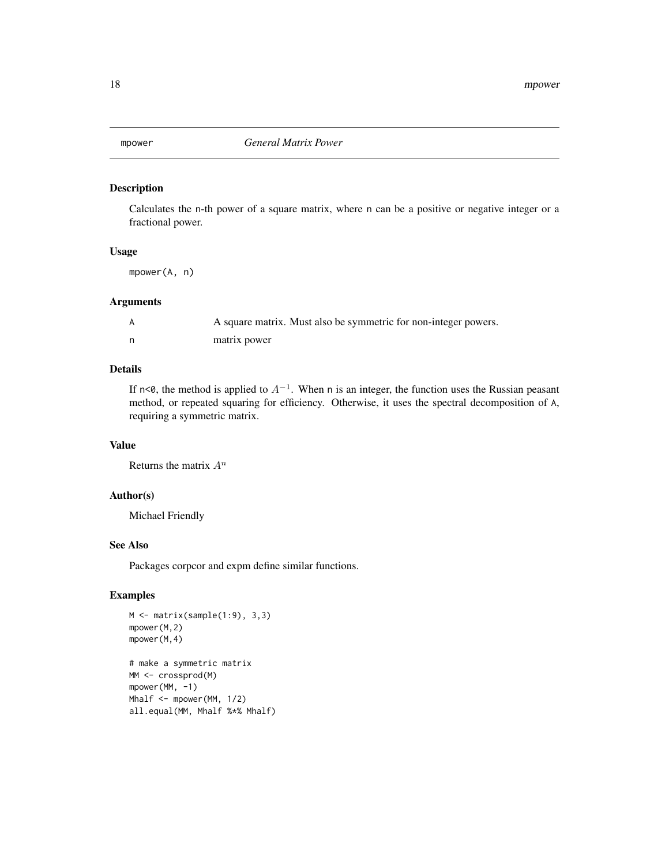<span id="page-17-0"></span>

## Description

Calculates the n-th power of a square matrix, where n can be a positive or negative integer or a fractional power.

## Usage

mpower(A, n)

## Arguments

| A square matrix. Must also be symmetric for non-integer powers. |
|-----------------------------------------------------------------|
| matrix power                                                    |

## Details

If n<0, the method is applied to  $A^{-1}$ . When n is an integer, the function uses the Russian peasant method, or repeated squaring for efficiency. Otherwise, it uses the spectral decomposition of A, requiring a symmetric matrix.

## Value

Returns the matrix  $A^n$ 

#### Author(s)

Michael Friendly

#### See Also

Packages corpcor and expm define similar functions.

## Examples

```
M \leftarrow matrix(sample(1:9), 3,3)mpower(M,2)
mpower(M,4)
# make a symmetric matrix
MM <- crossprod(M)
mpower(MM, -1)
Mhalf <- mpower(MM, 1/2)
all.equal(MM, Mhalf %*% Mhalf)
```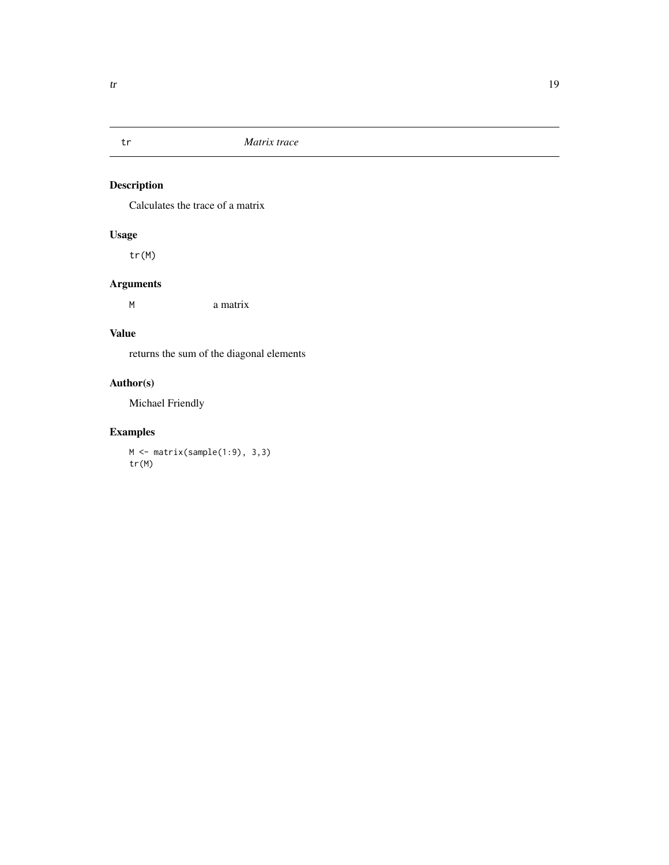<span id="page-18-0"></span>

## Description

Calculates the trace of a matrix

## Usage

tr(M)

## Arguments

M a matrix

## Value

returns the sum of the diagonal elements

## Author(s)

Michael Friendly

## Examples

M <- matrix(sample(1:9), 3,3) tr(M)